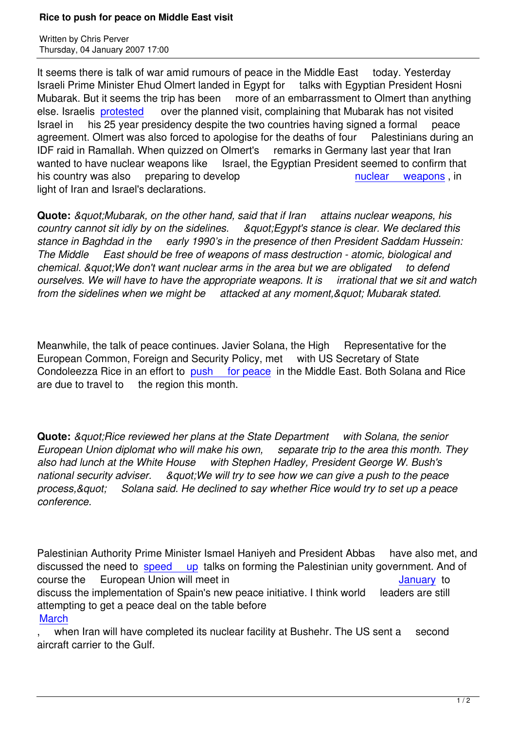It seems there is talk of war amid rumours of peace in the Middle East today. Yesterday Israeli Prime Minister Ehud Olmert landed in Egypt for talks with Egyptian President Hosni Mubarak. But it seems the trip has been more of an embarrassment to Olmert than anything else. Israelis protested over the planned visit, complaining that Mubarak has not visited Israel in his 25 year presidency despite the two countries having signed a formal peace agreement. Olmert was also forced to apologise for the deaths of four Palestinians during an IDF raid in R[amallah. W](http://www.jpost.com/servlet/Satellite?cid=1167467657001&pagename=JPost%2FJPArticle%2FShowFull)hen quizzed on Olmert's remarks in Germany last year that Iran wanted to have nuclear weapons like Israel, the Egyptian President seemed to confirm that his country was also preparing to develop nuclear weapons, in light of Iran and Israel's declarations.

**Quote:** *&guot:Mubarak, on the other hand, said that if Iran attains [nuclear weapons, hi](http://www.ynetnews.com/articles/0,7340,L-3348600,00.html)s country cannot sit idly by on the sidelines. "Egypt's stance is clear. We declared this stance in Baghdad in the early 1990's in the presence of then President Saddam Hussein: The Middle East should be free of weapons of mass destruction - atomic, biological and chemical. & quot: We don't want nuclear arms in the area but we are obligated to defend ourselves. We will have to have the appropriate weapons. It is irrational that we sit and watch from the sidelines when we might be attacked at any moment," Mubarak stated.*

Meanwhile, the talk of peace continues. Javier Solana, the High Representative for the European Common, Foreign and Security Policy, met with US Secretary of State Condoleezza Rice in an effort to push for peace in the Middle East. Both Solana and Rice are due to travel to the region this month.

**Quote:** *&guot:Rice reviewed her plans at the State Department with Solana, the senior European Union diplomat who will make his own, separate trip to the area this month. They also had lunch at the White House with Stephen Hadley, President George W. Bush's* national security adviser. Aguot: We will try to see how we can give a push to the peace *process," Solana said. He declined to say whether Rice would try to set up a peace conference.*

Palestinian Authority Prime Minister Ismael Haniyeh and President Abbas have also met, and discussed the need to speed up talks on forming the Palestinian unity government. And of course the European Union will meet in Annual Course the January to discuss the implementation of Spain's new peace initiative. I think world leaders are still attempting to get a pea[ce deal on th](http://www.ynetnews.com/articles/0,7340,L-3348629,00.html)e table before **March** 

when Iran will have completed its nuclear facility at Bushehr. The US sent [a seco](dec06.html#12-17-1)nd aircraft carrier to the Gulf.